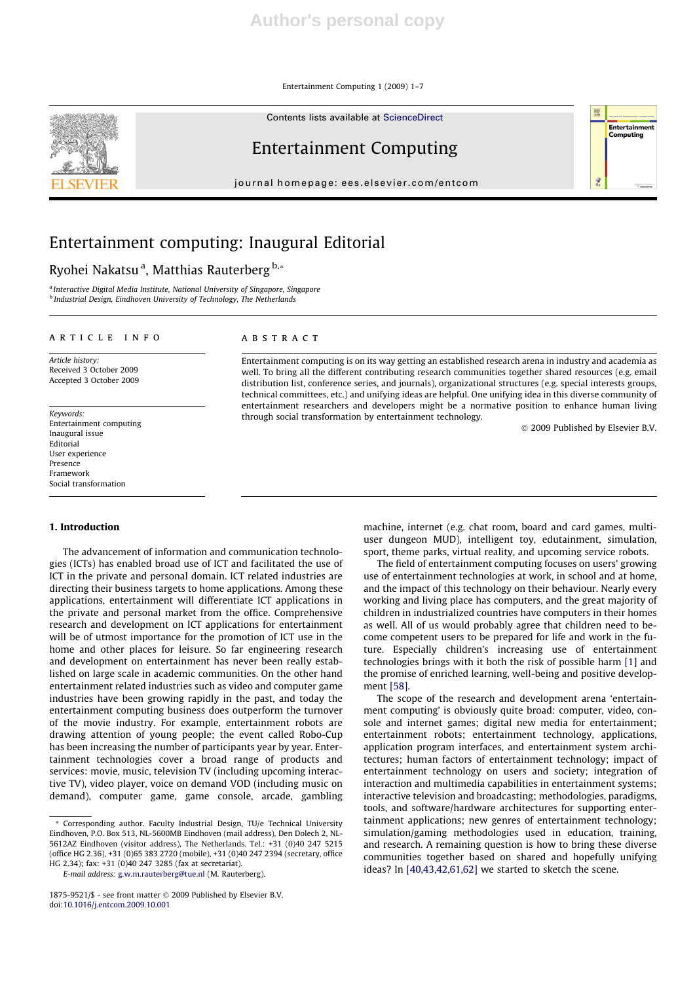Entertainment Computing 1 (2009) 1–7



Contents lists available at ScienceDirect

# Entertainment Computing

journal homepage: ees.elsevier.com/entcom

# Entertainment computing: Inaugural Editorial

# Ryohei Nakatsu<sup>a</sup>, Matthias Rauterberg <sup>b,</sup>\*

<sup>a</sup> Interactive Digital Media Institute, National University of Singapore, Singapore **b** Industrial Design, Eindhoven University of Technology, The Netherlands

# article info

Article history: Received 3 October 2009 Accepted 3 October 2009

Keywords: Entertainment computing Inaugural issue Editorial User experience Presence Framework Social transformation

## **ABSTRACT**

Entertainment computing is on its way getting an established research arena in industry and academia as well. To bring all the different contributing research communities together shared resources (e.g. email distribution list, conference series, and journals), organizational structures (e.g. special interests groups, technical committees, etc.) and unifying ideas are helpful. One unifying idea in this diverse community of entertainment researchers and developers might be a normative position to enhance human living through social transformation by entertainment technology.

- 2009 Published by Elsevier B.V.

Entertainme ...............<br>Computing

## 1. Introduction

The advancement of information and communication technologies (ICTs) has enabled broad use of ICT and facilitated the use of ICT in the private and personal domain. ICT related industries are directing their business targets to home applications. Among these applications, entertainment will differentiate ICT applications in the private and personal market from the office. Comprehensive research and development on ICT applications for entertainment will be of utmost importance for the promotion of ICT use in the home and other places for leisure. So far engineering research and development on entertainment has never been really established on large scale in academic communities. On the other hand entertainment related industries such as video and computer game industries have been growing rapidly in the past, and today the entertainment computing business does outperform the turnover of the movie industry. For example, entertainment robots are drawing attention of young people; the event called Robo-Cup has been increasing the number of participants year by year. Entertainment technologies cover a broad range of products and services: movie, music, television TV (including upcoming interactive TV), video player, voice on demand VOD (including music on demand), computer game, game console, arcade, gambling

machine, internet (e.g. chat room, board and card games, multiuser dungeon MUD), intelligent toy, edutainment, simulation, sport, theme parks, virtual reality, and upcoming service robots.

The field of entertainment computing focuses on users' growing use of entertainment technologies at work, in school and at home, and the impact of this technology on their behaviour. Nearly every working and living place has computers, and the great majority of children in industrialized countries have computers in their homes as well. All of us would probably agree that children need to become competent users to be prepared for life and work in the future. Especially children's increasing use of entertainment technologies brings with it both the risk of possible harm [1] and the promise of enriched learning, well-being and positive development [58].

The scope of the research and development arena 'entertainment computing' is obviously quite broad: computer, video, console and internet games; digital new media for entertainment; entertainment robots; entertainment technology, applications, application program interfaces, and entertainment system architectures; human factors of entertainment technology; impact of entertainment technology on users and society; integration of interaction and multimedia capabilities in entertainment systems; interactive television and broadcasting; methodologies, paradigms, tools, and software/hardware architectures for supporting entertainment applications; new genres of entertainment technology; simulation/gaming methodologies used in education, training, and research. A remaining question is how to bring these diverse communities together based on shared and hopefully unifying ideas? In [40,43,42,61,62] we started to sketch the scene.

<sup>\*</sup> Corresponding author. Faculty Industrial Design, TU/e Technical University Eindhoven, P.O. Box 513, NL-5600MB Eindhoven (mail address), Den Dolech 2, NL-5612AZ Eindhoven (visitor address), The Netherlands. Tel.: +31 (0)40 247 5215 (office HG 2.36), +31 (0)65 383 2720 (mobile), +31 (0)40 247 2394 (secretary, office HG 2.34); fax: +31 (0)40 247 3285 (fax at secretariat).

E-mail address: g.w.m.rauterberg@tue.nl (M. Rauterberg).

 $1875-9521/\$  - see front matter  $\odot$  2009 Published by Elsevier B.V. doi:10.1016/j.entcom.2009.10.001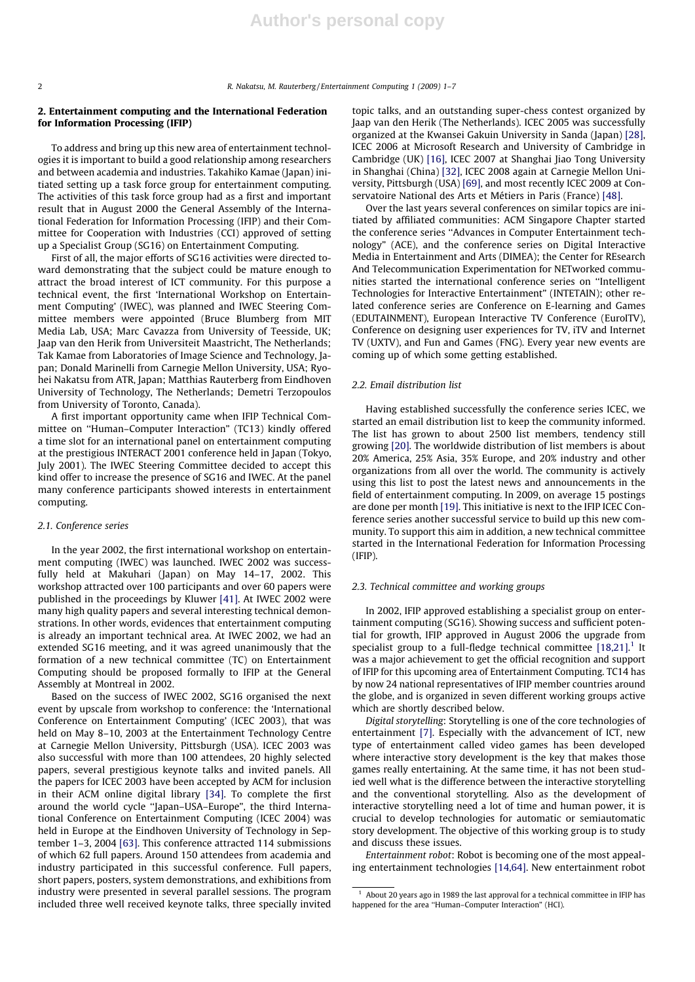## 2. Entertainment computing and the International Federation for Information Processing (IFIP)

To address and bring up this new area of entertainment technologies it is important to build a good relationship among researchers and between academia and industries. Takahiko Kamae (Japan) initiated setting up a task force group for entertainment computing. The activities of this task force group had as a first and important result that in August 2000 the General Assembly of the International Federation for Information Processing (IFIP) and their Committee for Cooperation with Industries (CCI) approved of setting up a Specialist Group (SG16) on Entertainment Computing.

First of all, the major efforts of SG16 activities were directed toward demonstrating that the subject could be mature enough to attract the broad interest of ICT community. For this purpose a technical event, the first 'International Workshop on Entertainment Computing' (IWEC), was planned and IWEC Steering Committee members were appointed (Bruce Blumberg from MIT Media Lab, USA; Marc Cavazza from University of Teesside, UK; Jaap van den Herik from Universiteit Maastricht, The Netherlands; Tak Kamae from Laboratories of Image Science and Technology, Japan; Donald Marinelli from Carnegie Mellon University, USA; Ryohei Nakatsu from ATR, Japan; Matthias Rauterberg from Eindhoven University of Technology, The Netherlands; Demetri Terzopoulos from University of Toronto, Canada).

A first important opportunity came when IFIP Technical Committee on ''Human–Computer Interaction" (TC13) kindly offered a time slot for an international panel on entertainment computing at the prestigious INTERACT 2001 conference held in Japan (Tokyo, July 2001). The IWEC Steering Committee decided to accept this kind offer to increase the presence of SG16 and IWEC. At the panel many conference participants showed interests in entertainment computing.

#### 2.1. Conference series

In the year 2002, the first international workshop on entertainment computing (IWEC) was launched. IWEC 2002 was successfully held at Makuhari (Japan) on May 14–17, 2002. This workshop attracted over 100 participants and over 60 papers were published in the proceedings by Kluwer [41]. At IWEC 2002 were many high quality papers and several interesting technical demonstrations. In other words, evidences that entertainment computing is already an important technical area. At IWEC 2002, we had an extended SG16 meeting, and it was agreed unanimously that the formation of a new technical committee (TC) on Entertainment Computing should be proposed formally to IFIP at the General Assembly at Montreal in 2002.

Based on the success of IWEC 2002, SG16 organised the next event by upscale from workshop to conference: the 'International Conference on Entertainment Computing' (ICEC 2003), that was held on May 8–10, 2003 at the Entertainment Technology Centre at Carnegie Mellon University, Pittsburgh (USA). ICEC 2003 was also successful with more than 100 attendees, 20 highly selected papers, several prestigious keynote talks and invited panels. All the papers for ICEC 2003 have been accepted by ACM for inclusion in their ACM online digital library [34]. To complete the first around the world cycle ''Japan–USA–Europe", the third International Conference on Entertainment Computing (ICEC 2004) was held in Europe at the Eindhoven University of Technology in September 1–3, 2004 [63]. This conference attracted 114 submissions of which 62 full papers. Around 150 attendees from academia and industry participated in this successful conference. Full papers, short papers, posters, system demonstrations, and exhibitions from industry were presented in several parallel sessions. The program included three well received keynote talks, three specially invited

topic talks, and an outstanding super-chess contest organized by Jaap van den Herik (The Netherlands). ICEC 2005 was successfully organized at the Kwansei Gakuin University in Sanda (Japan) [28], ICEC 2006 at Microsoft Research and University of Cambridge in Cambridge (UK) [16], ICEC 2007 at Shanghai Jiao Tong University in Shanghai (China) [32], ICEC 2008 again at Carnegie Mellon University, Pittsburgh (USA) [69], and most recently ICEC 2009 at Conservatoire National des Arts et Métiers in Paris (France) [48].

Over the last years several conferences on similar topics are initiated by affiliated communities: ACM Singapore Chapter started the conference series ''Advances in Computer Entertainment technology" (ACE), and the conference series on Digital Interactive Media in Entertainment and Arts (DIMEA); the Center for REsearch And Telecommunication Experimentation for NETworked communities started the international conference series on ''Intelligent Technologies for Interactive Entertainment" (INTETAIN); other related conference series are Conference on E-learning and Games (EDUTAINMENT), European Interactive TV Conference (EuroITV), Conference on designing user experiences for TV, iTV and Internet TV (UXTV), and Fun and Games (FNG). Every year new events are coming up of which some getting established.

#### 2.2. Email distribution list

Having established successfully the conference series ICEC, we started an email distribution list to keep the community informed. The list has grown to about 2500 list members, tendency still growing [20]. The worldwide distribution of list members is about 20% America, 25% Asia, 35% Europe, and 20% industry and other organizations from all over the world. The community is actively using this list to post the latest news and announcements in the field of entertainment computing. In 2009, on average 15 postings are done per month [19]. This initiative is next to the IFIP ICEC Conference series another successful service to build up this new community. To support this aim in addition, a new technical committee started in the International Federation for Information Processing (IFIP).

#### 2.3. Technical committee and working groups

In 2002, IFIP approved establishing a specialist group on entertainment computing (SG16). Showing success and sufficient potential for growth, IFIP approved in August 2006 the upgrade from specialist group to a full-fledge technical committee [18,21].<sup>1</sup> It was a major achievement to get the official recognition and support of IFIP for this upcoming area of Entertainment Computing. TC14 has by now 24 national representatives of IFIP member countries around the globe, and is organized in seven different working groups active which are shortly described below.

Digital storytelling: Storytelling is one of the core technologies of entertainment [7]. Especially with the advancement of ICT, new type of entertainment called video games has been developed where interactive story development is the key that makes those games really entertaining. At the same time, it has not been studied well what is the difference between the interactive storytelling and the conventional storytelling. Also as the development of interactive storytelling need a lot of time and human power, it is crucial to develop technologies for automatic or semiautomatic story development. The objective of this working group is to study and discuss these issues.

Entertainment robot: Robot is becoming one of the most appealing entertainment technologies [14,64]. New entertainment robot

 $^{\rm 1}$  About 20 years ago in 1989 the last approval for a technical committee in IFIP has happened for the area ''Human–Computer Interaction" (HCI).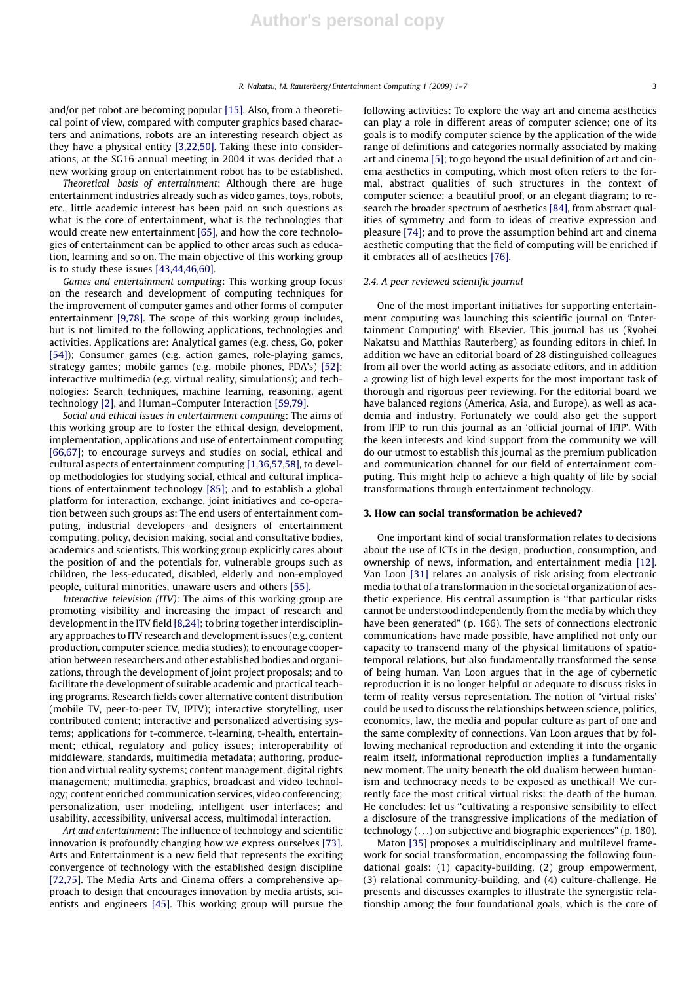and/or pet robot are becoming popular [15]. Also, from a theoretical point of view, compared with computer graphics based characters and animations, robots are an interesting research object as they have a physical entity [3,22,50]. Taking these into considerations, at the SG16 annual meeting in 2004 it was decided that a new working group on entertainment robot has to be established.

Theoretical basis of entertainment: Although there are huge entertainment industries already such as video games, toys, robots, etc., little academic interest has been paid on such questions as what is the core of entertainment, what is the technologies that would create new entertainment [65], and how the core technologies of entertainment can be applied to other areas such as education, learning and so on. The main objective of this working group is to study these issues [43,44,46,60].

Games and entertainment computing: This working group focus on the research and development of computing techniques for the improvement of computer games and other forms of computer entertainment [9,78]. The scope of this working group includes, but is not limited to the following applications, technologies and activities. Applications are: Analytical games (e.g. chess, Go, poker [54]); Consumer games (e.g. action games, role-playing games, strategy games; mobile games (e.g. mobile phones, PDA's) [52]; interactive multimedia (e.g. virtual reality, simulations); and technologies: Search techniques, machine learning, reasoning, agent technology [2], and Human–Computer Interaction [59,79].

Social and ethical issues in entertainment computing: The aims of this working group are to foster the ethical design, development, implementation, applications and use of entertainment computing [66,67]; to encourage surveys and studies on social, ethical and cultural aspects of entertainment computing [1,36,57,58], to develop methodologies for studying social, ethical and cultural implications of entertainment technology [85]; and to establish a global platform for interaction, exchange, joint initiatives and co-operation between such groups as: The end users of entertainment computing, industrial developers and designers of entertainment computing, policy, decision making, social and consultative bodies, academics and scientists. This working group explicitly cares about the position of and the potentials for, vulnerable groups such as children, the less-educated, disabled, elderly and non-employed people, cultural minorities, unaware users and others [55].

Interactive television (ITV): The aims of this working group are promoting visibility and increasing the impact of research and development in the ITV field [8,24]; to bring together interdisciplinary approaches to ITV research and development issues (e.g. content production, computer science, media studies); to encourage cooperation between researchers and other established bodies and organizations, through the development of joint project proposals; and to facilitate the development of suitable academic and practical teaching programs. Research fields cover alternative content distribution (mobile TV, peer-to-peer TV, IPTV); interactive storytelling, user contributed content; interactive and personalized advertising systems; applications for t-commerce, t-learning, t-health, entertainment; ethical, regulatory and policy issues; interoperability of middleware, standards, multimedia metadata; authoring, production and virtual reality systems; content management, digital rights management; multimedia, graphics, broadcast and video technology; content enriched communication services, video conferencing; personalization, user modeling, intelligent user interfaces; and usability, accessibility, universal access, multimodal interaction.

Art and entertainment: The influence of technology and scientific innovation is profoundly changing how we express ourselves [73]. Arts and Entertainment is a new field that represents the exciting convergence of technology with the established design discipline [72,75]. The Media Arts and Cinema offers a comprehensive approach to design that encourages innovation by media artists, scientists and engineers [45]. This working group will pursue the following activities: To explore the way art and cinema aesthetics can play a role in different areas of computer science; one of its goals is to modify computer science by the application of the wide range of definitions and categories normally associated by making art and cinema [5]; to go beyond the usual definition of art and cinema aesthetics in computing, which most often refers to the formal, abstract qualities of such structures in the context of computer science: a beautiful proof, or an elegant diagram; to research the broader spectrum of aesthetics [84], from abstract qualities of symmetry and form to ideas of creative expression and pleasure [74]; and to prove the assumption behind art and cinema aesthetic computing that the field of computing will be enriched if it embraces all of aesthetics [76].

#### 2.4. A peer reviewed scientific journal

One of the most important initiatives for supporting entertainment computing was launching this scientific journal on 'Entertainment Computing' with Elsevier. This journal has us (Ryohei Nakatsu and Matthias Rauterberg) as founding editors in chief. In addition we have an editorial board of 28 distinguished colleagues from all over the world acting as associate editors, and in addition a growing list of high level experts for the most important task of thorough and rigorous peer reviewing. For the editorial board we have balanced regions (America, Asia, and Europe), as well as academia and industry. Fortunately we could also get the support from IFIP to run this journal as an 'official journal of IFIP'. With the keen interests and kind support from the community we will do our utmost to establish this journal as the premium publication and communication channel for our field of entertainment computing. This might help to achieve a high quality of life by social transformations through entertainment technology.

#### 3. How can social transformation be achieved?

One important kind of social transformation relates to decisions about the use of ICTs in the design, production, consumption, and ownership of news, information, and entertainment media [12]. Van Loon [31] relates an analysis of risk arising from electronic media to that of a transformation in the societal organization of aesthetic experience. His central assumption is ''that particular risks cannot be understood independently from the media by which they have been generated" (p. 166). The sets of connections electronic communications have made possible, have amplified not only our capacity to transcend many of the physical limitations of spatiotemporal relations, but also fundamentally transformed the sense of being human. Van Loon argues that in the age of cybernetic reproduction it is no longer helpful or adequate to discuss risks in term of reality versus representation. The notion of 'virtual risks' could be used to discuss the relationships between science, politics, economics, law, the media and popular culture as part of one and the same complexity of connections. Van Loon argues that by following mechanical reproduction and extending it into the organic realm itself, informational reproduction implies a fundamentally new moment. The unity beneath the old dualism between humanism and technocracy needs to be exposed as unethical! We currently face the most critical virtual risks: the death of the human. He concludes: let us ''cultivating a responsive sensibility to effect a disclosure of the transgressive implications of the mediation of technology (...) on subjective and biographic experiences" (p. 180).

Maton [35] proposes a multidisciplinary and multilevel framework for social transformation, encompassing the following foundational goals: (1) capacity-building, (2) group empowerment, (3) relational community-building, and (4) culture-challenge. He presents and discusses examples to illustrate the synergistic relationship among the four foundational goals, which is the core of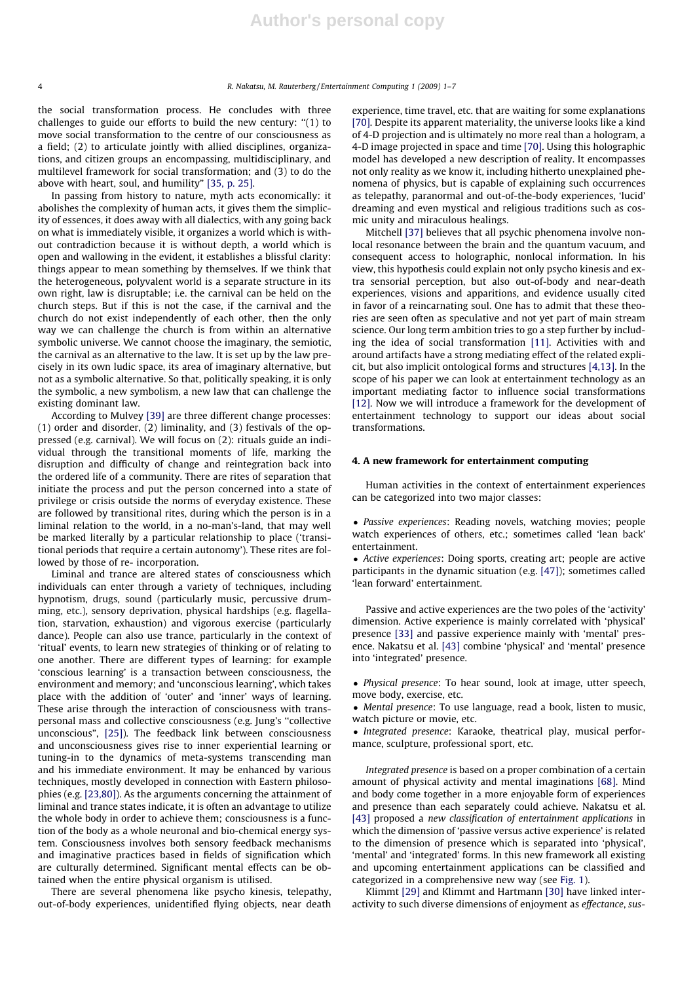the social transformation process. He concludes with three challenges to guide our efforts to build the new century: ''(1) to move social transformation to the centre of our consciousness as a field; (2) to articulate jointly with allied disciplines, organizations, and citizen groups an encompassing, multidisciplinary, and multilevel framework for social transformation; and (3) to do the above with heart, soul, and humility" [35, p. 25].

In passing from history to nature, myth acts economically: it abolishes the complexity of human acts, it gives them the simplicity of essences, it does away with all dialectics, with any going back on what is immediately visible, it organizes a world which is without contradiction because it is without depth, a world which is open and wallowing in the evident, it establishes a blissful clarity: things appear to mean something by themselves. If we think that the heterogeneous, polyvalent world is a separate structure in its own right, law is disruptable; i.e. the carnival can be held on the church steps. But if this is not the case, if the carnival and the church do not exist independently of each other, then the only way we can challenge the church is from within an alternative symbolic universe. We cannot choose the imaginary, the semiotic, the carnival as an alternative to the law. It is set up by the law precisely in its own ludic space, its area of imaginary alternative, but not as a symbolic alternative. So that, politically speaking, it is only the symbolic, a new symbolism, a new law that can challenge the existing dominant law.

According to Mulvey [39] are three different change processes: (1) order and disorder, (2) liminality, and (3) festivals of the oppressed (e.g. carnival). We will focus on (2): rituals guide an individual through the transitional moments of life, marking the disruption and difficulty of change and reintegration back into the ordered life of a community. There are rites of separation that initiate the process and put the person concerned into a state of privilege or crisis outside the norms of everyday existence. These are followed by transitional rites, during which the person is in a liminal relation to the world, in a no-man's-land, that may well be marked literally by a particular relationship to place ('transitional periods that require a certain autonomy'). These rites are followed by those of re- incorporation.

Liminal and trance are altered states of consciousness which individuals can enter through a variety of techniques, including hypnotism, drugs, sound (particularly music, percussive drumming, etc.), sensory deprivation, physical hardships (e.g. flagellation, starvation, exhaustion) and vigorous exercise (particularly dance). People can also use trance, particularly in the context of 'ritual' events, to learn new strategies of thinking or of relating to one another. There are different types of learning: for example 'conscious learning' is a transaction between consciousness, the environment and memory; and 'unconscious learning', which takes place with the addition of 'outer' and 'inner' ways of learning. These arise through the interaction of consciousness with transpersonal mass and collective consciousness (e.g. Jung's ''collective unconscious", [25]). The feedback link between consciousness and unconsciousness gives rise to inner experiential learning or tuning-in to the dynamics of meta-systems transcending man and his immediate environment. It may be enhanced by various techniques, mostly developed in connection with Eastern philosophies (e.g. [23,80]). As the arguments concerning the attainment of liminal and trance states indicate, it is often an advantage to utilize the whole body in order to achieve them; consciousness is a function of the body as a whole neuronal and bio-chemical energy system. Consciousness involves both sensory feedback mechanisms and imaginative practices based in fields of signification which are culturally determined. Significant mental effects can be obtained when the entire physical organism is utilised.

There are several phenomena like psycho kinesis, telepathy, out-of-body experiences, unidentified flying objects, near death experience, time travel, etc. that are waiting for some explanations [70]. Despite its apparent materiality, the universe looks like a kind of 4-D projection and is ultimately no more real than a hologram, a 4-D image projected in space and time [70]. Using this holographic model has developed a new description of reality. It encompasses not only reality as we know it, including hitherto unexplained phenomena of physics, but is capable of explaining such occurrences as telepathy, paranormal and out-of-the-body experiences, 'lucid' dreaming and even mystical and religious traditions such as cosmic unity and miraculous healings.

Mitchell [37] believes that all psychic phenomena involve nonlocal resonance between the brain and the quantum vacuum, and consequent access to holographic, nonlocal information. In his view, this hypothesis could explain not only psycho kinesis and extra sensorial perception, but also out-of-body and near-death experiences, visions and apparitions, and evidence usually cited in favor of a reincarnating soul. One has to admit that these theories are seen often as speculative and not yet part of main stream science. Our long term ambition tries to go a step further by including the idea of social transformation [11]. Activities with and around artifacts have a strong mediating effect of the related explicit, but also implicit ontological forms and structures [4,13]. In the scope of his paper we can look at entertainment technology as an important mediating factor to influence social transformations [12]. Now we will introduce a framework for the development of entertainment technology to support our ideas about social transformations.

#### 4. A new framework for entertainment computing

Human activities in the context of entertainment experiences can be categorized into two major classes:

• Passive experiences: Reading novels, watching movies; people watch experiences of others, etc.; sometimes called 'lean back' entertainment.

• Active experiences: Doing sports, creating art; people are active participants in the dynamic situation (e.g. [47]); sometimes called 'lean forward' entertainment.

Passive and active experiences are the two poles of the 'activity' dimension. Active experience is mainly correlated with 'physical' presence [33] and passive experience mainly with 'mental' presence. Nakatsu et al. [43] combine 'physical' and 'mental' presence into 'integrated' presence.

• *Physical presence*: To hear sound, look at image, utter speech, move body, exercise, etc.

• *Mental presence*: To use language, read a book, listen to music, watch picture or movie, etc.

• Integrated presence: Karaoke, theatrical play, musical performance, sculpture, professional sport, etc.

Integrated presence is based on a proper combination of a certain amount of physical activity and mental imaginations [68]. Mind and body come together in a more enjoyable form of experiences and presence than each separately could achieve. Nakatsu et al. [43] proposed a new classification of entertainment applications in which the dimension of 'passive versus active experience' is related to the dimension of presence which is separated into 'physical', 'mental' and 'integrated' forms. In this new framework all existing and upcoming entertainment applications can be classified and categorized in a comprehensive new way (see Fig. 1).

Klimmt [29] and Klimmt and Hartmann [30] have linked interactivity to such diverse dimensions of enjoyment as effectance, sus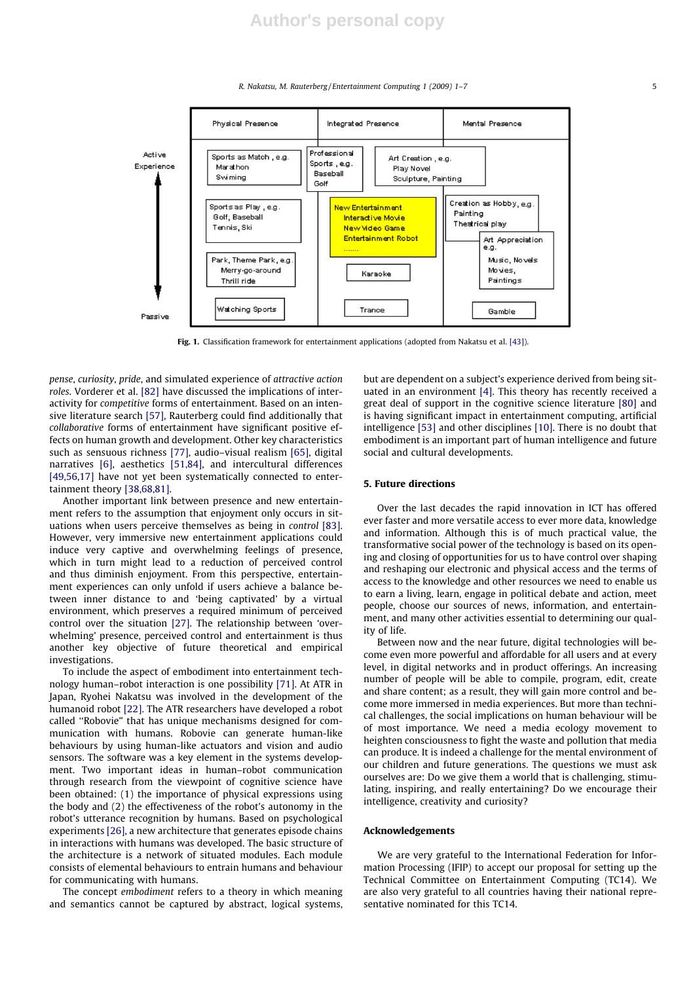R. Nakatsu, M. Rauterberg / Entertainment Computing 1 (2009) 1–7 5



Fig. 1. Classification framework for entertainment applications (adopted from Nakatsu et al. [43]).

pense, curiosity, pride, and simulated experience of attractive action roles. Vorderer et al. [82] have discussed the implications of interactivity for competitive forms of entertainment. Based on an intensive literature search [57], Rauterberg could find additionally that collaborative forms of entertainment have significant positive effects on human growth and development. Other key characteristics such as sensuous richness [77], audio–visual realism [65], digital narratives [6], aesthetics [51,84], and intercultural differences [49,56,17] have not yet been systematically connected to entertainment theory [38,68,81].

Another important link between presence and new entertainment refers to the assumption that enjoyment only occurs in situations when users perceive themselves as being in control [83]. However, very immersive new entertainment applications could induce very captive and overwhelming feelings of presence, which in turn might lead to a reduction of perceived control and thus diminish enjoyment. From this perspective, entertainment experiences can only unfold if users achieve a balance between inner distance to and 'being captivated' by a virtual environment, which preserves a required minimum of perceived control over the situation [27]. The relationship between 'overwhelming' presence, perceived control and entertainment is thus another key objective of future theoretical and empirical investigations.

To include the aspect of embodiment into entertainment technology human–robot interaction is one possibility [71]. At ATR in Japan, Ryohei Nakatsu was involved in the development of the humanoid robot [22]. The ATR researchers have developed a robot called ''Robovie" that has unique mechanisms designed for communication with humans. Robovie can generate human-like behaviours by using human-like actuators and vision and audio sensors. The software was a key element in the systems development. Two important ideas in human–robot communication through research from the viewpoint of cognitive science have been obtained: (1) the importance of physical expressions using the body and (2) the effectiveness of the robot's autonomy in the robot's utterance recognition by humans. Based on psychological experiments [26], a new architecture that generates episode chains in interactions with humans was developed. The basic structure of the architecture is a network of situated modules. Each module consists of elemental behaviours to entrain humans and behaviour for communicating with humans.

The concept embodiment refers to a theory in which meaning and semantics cannot be captured by abstract, logical systems,

but are dependent on a subject's experience derived from being situated in an environment [4]. This theory has recently received a great deal of support in the cognitive science literature [80] and is having significant impact in entertainment computing, artificial intelligence [53] and other disciplines [10]. There is no doubt that embodiment is an important part of human intelligence and future social and cultural developments.

#### 5. Future directions

Over the last decades the rapid innovation in ICT has offered ever faster and more versatile access to ever more data, knowledge and information. Although this is of much practical value, the transformative social power of the technology is based on its opening and closing of opportunities for us to have control over shaping and reshaping our electronic and physical access and the terms of access to the knowledge and other resources we need to enable us to earn a living, learn, engage in political debate and action, meet people, choose our sources of news, information, and entertainment, and many other activities essential to determining our quality of life.

Between now and the near future, digital technologies will become even more powerful and affordable for all users and at every level, in digital networks and in product offerings. An increasing number of people will be able to compile, program, edit, create and share content; as a result, they will gain more control and become more immersed in media experiences. But more than technical challenges, the social implications on human behaviour will be of most importance. We need a media ecology movement to heighten consciousness to fight the waste and pollution that media can produce. It is indeed a challenge for the mental environment of our children and future generations. The questions we must ask ourselves are: Do we give them a world that is challenging, stimulating, inspiring, and really entertaining? Do we encourage their intelligence, creativity and curiosity?

### Acknowledgements

We are very grateful to the International Federation for Information Processing (IFIP) to accept our proposal for setting up the Technical Committee on Entertainment Computing (TC14). We are also very grateful to all countries having their national representative nominated for this TC14.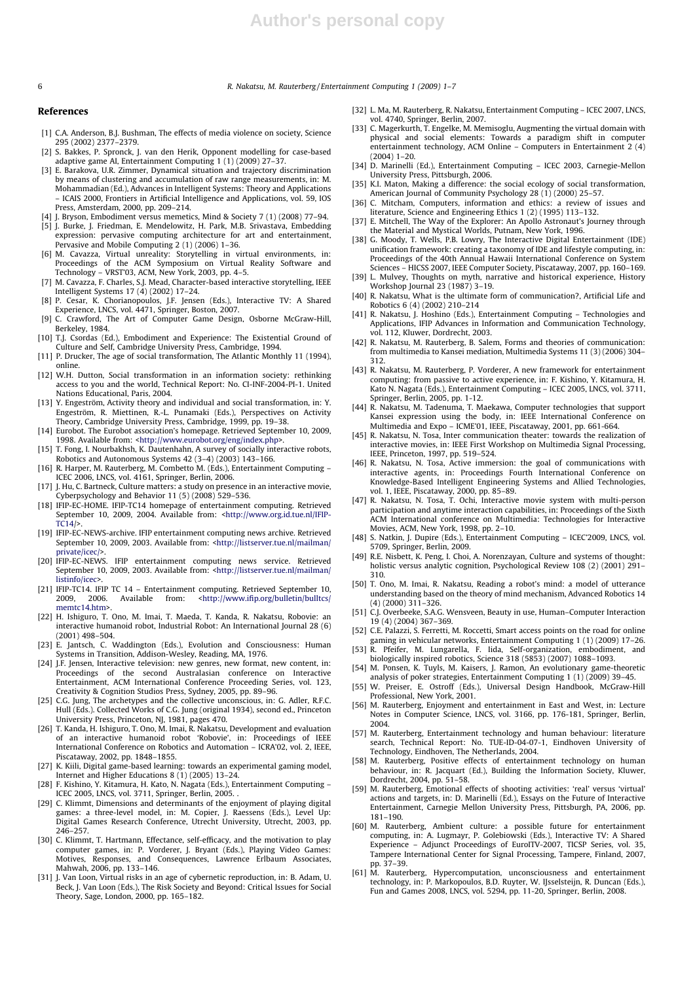# **Author's personal copy**

6 R. Nakatsu, M. Rauterberg / Entertainment Computing 1 (2009) 1–7

#### References

- [1] C.A. Anderson, B.J. Bushman, The effects of media violence on society, Science 295 (2002) 2377–2379.
- [2] S. Bakkes, P. Spronck, J. van den Herik, Opponent modelling for case-based adaptive game AI, Entertainment Computing 1 (1) (2009) 27–37.
- [3] E. Barakova, U.R. Zimmer, Dynamical situation and trajectory discrimination by means of clustering and accumulation of raw range measurements, in: M. Mohammadian (Ed.), Advances in Intelligent Systems: Theory and Applications – ICAIS 2000, Frontiers in Artificial Intelligence and Applications, vol. 59, IOS Press, Amsterdam, 2000, pp. 209–214.
- [4] J. Bryson, Embodiment versus memetics, Mind & Society 7 (1) (2008) 77–94.
- [5] J. Burke, J. Friedman, E. Mendelowitz, H. Park, M.B. Srivastava, Embedding expression: pervasive computing architecture for art and entertainment, Pervasive and Mobile Computing 2 (1) (2006) 1–36.
- [6] M. Cavazza, Virtual unreality: Storytelling in virtual environments, in: Proceedings of the ACM Symposium on Virtual Reality Software and Technology – VRST'03, ACM, New York, 2003, pp. 4–5.
- [7] M. Cavazza, F. Charles, S.J. Mead, Character-based interactive storytelling, IEEE Intelligent Systems 17 (4) (2002) 17–24.
- [8] P. Cesar, K. Chorianopoulos, J.F. Jensen (Eds.), Interactive TV: A Shared Experience, LNCS, vol. 4471, Springer, Boston, 2007.
- [9] C. Crawford, The Art of Computer Game Design, Osborne McGraw-Hill, Berkeley, 1984.
- [10] T.J. Csordas (Ed.), Embodiment and Experience: The Existential Ground of Culture and Self, Cambridge University Press, Cambridge, 1994.
- [11] P. Drucker, The age of social transformation, The Atlantic Monthly 11 (1994), online.
- [12] W.H. Dutton, Social transformation in an information society: rethinking access to you and the world, Technical Report: No. CI-INF-2004-PI-1. United Nations Educational, Paris, 2004.
- [13] Y. Engeström, Activity theory and individual and social transformation, in: Y. Engeström, R. Miettinen, R.-L. Punamaki (Eds.), Perspectives on Activity Theory, Cambridge University Press, Cambridge, 1999, pp. 19–38.
- [14] Eurobot. The Eurobot association's homepage. Retrieved September 10, 2009, 1998. Available from: <http://www.eurobot.org/eng/index.php>.
- [15] T. Fong, I. Nourbakhsh, K. Dautenhahn, A survey of socially interactive robots. Robotics and Autonomous Systems 42 (3–4) (2003) 143–166.
- [16] R. Harper, M. Rauterberg, M. Combetto M. (Eds.), Entertainment Computing ICEC 2006, LNCS, vol. 4161, Springer, Berlin, 2006.
- [17] J. Hu, C. Bartneck, Culture matters: a study on presence in an interactive movie, Cyberpsychology and Behavior 11 (5) (2008) 529–536.
- [18] IFIP-EC-HOME. IFIP-TC14 homepage of entertainment computing. Retrieved September 10, 2009, 2004. Available from: <http://www.org.id.tue.nl/IFIP- $TC14$
- [19] IFIP-EC-NEWS-archive. IFIP entertainment computing news archive. Retrieved September 10, 2009, 2003. Available from: <http://listserver.tue.nl/mailman/ private/icec/>.
- [20] IFIP-EC-NEWS. IFIP entertainment computing news service. Retrieved September 10, 2009, 2003. Available from: <http://listserver.tue.nl/mailman/ listinfo/icec>.
- [21] IFIP-TC14. IFIP TC 14 Entertainment computing. Retrieved September 10, 2009, 2006. Available from: <http://www.ifip.org/bulletin/bulltcs/ memtc14.htm>.
- [22] H. Ishiguro, T. Ono, M. Imai, T. Maeda, T. Kanda, R. Nakatsu, Robovie: an interactive humanoid robot, Industrial Robot: An International Journal 28 (6) (2001) 498–504.
- [23] E. Jantsch, C. Waddington (Eds.), Evolution and Consciousness: Human Systems in Transition, Addison-Wesley, Reading, MA, 1976.
- [24] J.F. Jensen, Interactive television: new genres, new format, new content, in: Proceedings of the second Australasian conference on Interactive Entertainment, ACM International Conference Proceeding Series, vol. 123, Creativity & Cognition Studios Press, Sydney, 2005, pp. 89–96.
- [25] C.G. Jung, The archetypes and the collective unconscious, in: G. Adler, R.F.C. Hull (Eds.). Collected Works of C.G. Jung (original 1934), second ed., Princeton University Press, Princeton, NJ, 1981, pages 470.
- [26] T. Kanda, H. Ishiguro, T. Ono, M. Imai, R. Nakatsu, Development and evaluation of an interactive humanoid robot 'Robovie', in: Proceedings of IEEE International Conference on Robotics and Automation – ICRA'02, vol. 2, IEEE, Piscataway, 2002, pp. 1848–1855.
- [27] K. Kiili, Digital game-based learning: towards an experimental gaming model, Internet and Higher Educations 8 (1) (2005) 13–24.
- [28] F. Kishino, Y. Kitamura, H. Kato, N. Nagata (Eds.), Entertainment Computing ICEC 2005, LNCS, vol. 3711, Springer, Berlin, 2005. .
- [29] C. Klimmt, Dimensions and determinants of the enjoyment of playing digital games: a three-level model, in: M. Copier, J. Raessens (Eds.), Level Up: Digital Games Research Conference, Utrecht University, Utrecht, 2003, pp. 246–257.
- [30] C. Klimmt, T. Hartmann, Effectance, self-efficacy, and the motivation to play computer games, in: P. Vorderer, J. Bryant (Eds.), Playing Video Games: Motives, Responses, and Consequences, Lawrence Erlbaum Associates, Mahwah, 2006, pp. 133–146.
- [31] J. Van Loon, Virtual risks in an age of cybernetic reproduction, in: B. Adam, U. Beck, J. Van Loon (Eds.), The Risk Society and Beyond: Critical Issues for Social Theory, Sage, London, 2000, pp. 165–182.
- [32] L. Ma, M. Rauterberg, R. Nakatsu, Entertainment Computing ICEC 2007, LNCS, vol. 4740, Springer, Berlin, 2007.
- [33] C. Magerkurth, T. Engelke, M. Memisoglu, Augmenting the virtual domain with physical and social elements: Towards a paradigm shift in computer entertainment technology, ACM Online – Computers in Entertainment 2 (4) (2004) 1–20.
- [34] D. Marinelli (Ed.), Entertainment Computing ICEC 2003, Carnegie-Mellon University Press, Pittsburgh, 2006.
- [35] K.I. Maton, Making a difference: the social ecology of social transformation, American Journal of Community Psychology 28 (1) (2000) 25–57.
- [36] C. Mitcham, Computers, information and ethics: a review of issues and literature, Science and Engineering Ethics 1 (2) (1995) 113–132.
- [37] E. Mitchell, The Way of the Explorer: An Apollo Astronaut's Journey through the Material and Mystical Worlds, Putnam, New York, 1996.
- [38] G. Moody, T. Wells, P.B. Lowry, The Interactive Digital Entertainment (IDE) unification framework: creating a taxonomy of IDE and lifestyle computing, in: Proceedings of the 40th Annual Hawaii International Conference on System Sciences – HICSS 2007, IEEE Computer Society, Piscataway, 2007, pp. 160–169.
- [39] L. Mulvey, Thoughts on myth, narrative and historical experience, History Workshop Journal 23 (1987) 3–19.
- [40] R. Nakatsu, What is the ultimate form of communication?, Artificial Life and Robotics 6 (4) (2002) 210–214
- [41] R. Nakatsu, J. Hoshino (Eds.), Entertainment Computing Technologies and Applications, IFIP Advances in Information and Communication Technology, vol. 112, Kluwer, Dordrecht, 2003.
- [42] R. Nakatsu, M. Rauterberg, B. Salem, Forms and theories of communication: from multimedia to Kansei mediation, Multimedia Systems 11 (3) (2006) 304– 312.
- [43] R. Nakatsu, M. Rauterberg, P. Vorderer, A new framework for entertainment computing: from passive to active experience, in: F. Kishino, Y. Kitamura, H. Kato N. Nagata (Eds.), Entertainment Computing – ICEC 2005, LNCS, vol. 3711, Springer, Berlin, 2005, pp. 1-12.
- [44] R. Nakatsu, M. Tadenuma, T. Maekawa, Computer technologies that support Kansei expression using the body, in: IEEE International Conference on Multimedia and Expo – ICME'01, IEEE, Piscataway, 2001, pp. 661-664.
- [45] R. Nakatsu, N. Tosa, Inter communication theater: towards the realization of interactive movies, in: IEEE First Workshop on Multimedia Signal Processing, IEEE, Princeton, 1997, pp. 519–524.
- [46] R. Nakatsu, N. Tosa, Active immersion: the goal of communications with interactive agents, in: Proceedings Fourth International Conference on Knowledge-Based Intelligent Engineering Systems and Allied Technologies, vol. 1, IEEE, Piscataway, 2000, pp. 85–89.
- [47] R. Nakatsu, N. Tosa, T. Ochi, Interactive movie system with multi-person participation and anytime interaction capabilities, in: Proceedings of the Sixth ACM International conference on Multimedia: Technologies for Interactive Movies, ACM, New York, 1998, pp. 2–10.
- [48] S. Natkin, J. Dupire (Eds.), Entertainment Computing ICEC'2009, LNCS, vol. 5709, Springer, Berlin, 2009.
- [49] R.E. Nisbett, K. Peng, I. Choi, A. Norenzayan, Culture and systems of thought: holistic versus analytic cognition, Psychological Review 108 (2) (2001) 291– 310.
- [50] T. Ono, M. Imai, R. Nakatsu, Reading a robot's mind: a model of utterance understanding based on the theory of mind mechanism, Advanced Robotics 14 (4) (2000) 311–326.
- [51] C.J. Overbeeke, S.A.G. Wensveen, Beauty in use, Human–Computer Interaction 19 (4) (2004) 367–369.
- [52] C.E. Palazzi, S. Ferretti, M. Roccetti, Smart access points on the road for online gaming in vehicular networks, Entertainment Computing 1 (1) (2009) 17–26.
- [53] R. Pfeifer, M. Lungarella, F. Iida, Self-organization, embodiment, and biologically inspired robotics, Science 318 (5853) (2007) 1088–1093. [54] M. Ponsen, K. Tuyls, M. Kaisers, J. Ramon, An evolutionary game-theoretic
- analysis of poker strategies, Entertainment Computing 1 (1) (2009) 39–45.
- [55] W. Preiser, E. Ostroff (Eds.), Universal Design Handbook, McGraw-Hill Professional, New York, 2001.
- [56] M. Rauterberg, Enjoyment and entertainment in East and West, in: Lecture Notes in Computer Science, LNCS, vol. 3166, pp. 176-181, Springer, Berlin, 2004.
- [57] M. Rauterberg, Entertainment technology and human behaviour: literature search, Technical Report: No. TUE-ID-04-07-1, Eindhoven University of Technology, Eindhoven, The Netherlands, 2004.
- [58] M. Rauterberg, Positive effects of entertainment technology on human behaviour, in: R. Jacquart (Ed.), Building the Information Society, Kluwer, Dordrecht, 2004, pp. 51–58.
- [59] M. Rauterberg, Emotional effects of shooting activities: 'real' versus 'virtual' actions and targets, in: D. Marinelli (Ed.), Essays on the Future of Interactive Entertainment, Carnegie Mellon University Press, Pittsburgh, PA, 2006, pp. 181–190.
- [60] M. Rauterberg, Ambient culture: a possible future for entertainment computing, in: A. Lugmayr, P. Golebiowski (Eds.), Interactive TV: A Shared Experience – Adjunct Proceedings of EuroITV-2007, TICSP Series, vol. 35, Tampere International Center for Signal Processing, Tampere, Finland, 2007, pp. 37–39.
- [61] M. Rauterberg, Hypercomputation, unconsciousness and entertainment technology, in: P. Markopoulos, B.D. Ruyter, W. IJsselsteijn, R. Duncan (Eds.), Fun and Games 2008, LNCS, vol. 5294, pp. 11-20, Springer, Berlin, 2008.